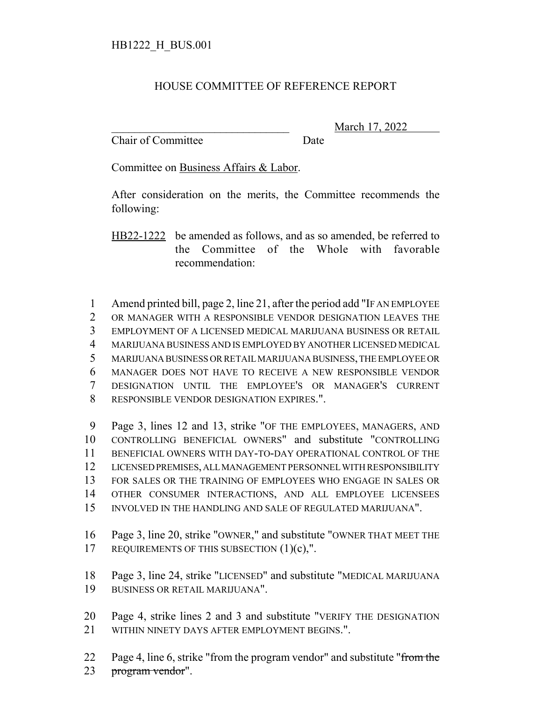## HOUSE COMMITTEE OF REFERENCE REPORT

Chair of Committee Date

\_\_\_\_\_\_\_\_\_\_\_\_\_\_\_\_\_\_\_\_\_\_\_\_\_\_\_\_\_\_\_ March 17, 2022

Committee on Business Affairs & Labor.

After consideration on the merits, the Committee recommends the following:

HB22-1222 be amended as follows, and as so amended, be referred to the Committee of the Whole with favorable recommendation:

 Amend printed bill, page 2, line 21, after the period add "IF AN EMPLOYEE OR MANAGER WITH A RESPONSIBLE VENDOR DESIGNATION LEAVES THE EMPLOYMENT OF A LICENSED MEDICAL MARIJUANA BUSINESS OR RETAIL MARIJUANA BUSINESS AND IS EMPLOYED BY ANOTHER LICENSED MEDICAL MARIJUANA BUSINESS OR RETAIL MARIJUANA BUSINESS, THE EMPLOYEE OR MANAGER DOES NOT HAVE TO RECEIVE A NEW RESPONSIBLE VENDOR DESIGNATION UNTIL THE EMPLOYEE'S OR MANAGER'S CURRENT RESPONSIBLE VENDOR DESIGNATION EXPIRES.".

 Page 3, lines 12 and 13, strike "OF THE EMPLOYEES, MANAGERS, AND CONTROLLING BENEFICIAL OWNERS" and substitute "CONTROLLING BENEFICIAL OWNERS WITH DAY-TO-DAY OPERATIONAL CONTROL OF THE LICENSED PREMISES, ALL MANAGEMENT PERSONNEL WITH RESPONSIBILITY FOR SALES OR THE TRAINING OF EMPLOYEES WHO ENGAGE IN SALES OR OTHER CONSUMER INTERACTIONS, AND ALL EMPLOYEE LICENSEES INVOLVED IN THE HANDLING AND SALE OF REGULATED MARIJUANA".

16 Page 3, line 20, strike "OWNER," and substitute "OWNER THAT MEET THE 17 REQUIREMENTS OF THIS SUBSECTION  $(1)(c)$ ,".

18 Page 3, line 24, strike "LICENSED" and substitute "MEDICAL MARIJUANA 19 BUSINESS OR RETAIL MARIJUANA".

20 Page 4, strike lines 2 and 3 and substitute "VERIFY THE DESIGNATION 21 WITHIN NINETY DAYS AFTER EMPLOYMENT BEGINS.".

22 Page 4, line 6, strike "from the program vendor" and substitute "from the 23 program vendor".